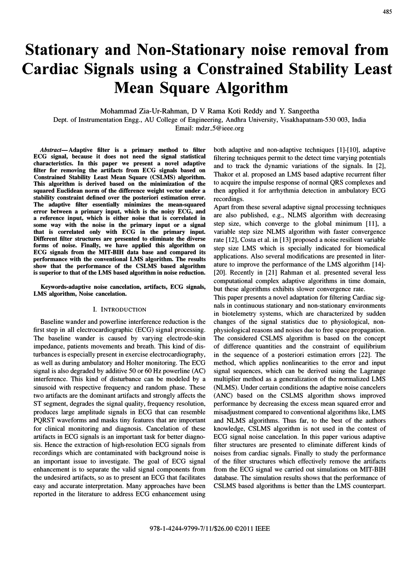# Stationary and Non-Stationary noise removal from Cardiac Signals using a Constrained Stability Least Mean Square Algorithm

Mohammad Zia-Ur-Rahman, D V Rama Koti Reddy and Y. Sangeetha

Dept. of Instrumentation Engg., AU College of Engineering, Andhra University, Visakhapatnam-530 003, India Email: mdzr\_5@ieee.org

Abstract-Adaptive filter is a primary method to filter ECG signal, because it does not need the signal statistical characteristics. In this paper we present a novel adaptive filter for removing the artifacts from ECG signals based on Constrained Stability Least Mean Square (CSLMS) algorithm. This algorithm is derived based on the minimization of the squared Euclidean norm of the difference weight vector under a stability constraint defined over the posteriori estimation error. The adaptive filter essentially minimizes the mean-squared error between a primary input, which is the noisy ECG, and a reference input, which is either noise that is correlated in some way with the noise in the primary input or a signal that is correlated only with ECG in the primary input. Different filter structures are presented to eliminate the diverse forms of noise. Finally, we have applied this algorithm on ECG signals from the MIT-BIH data base and compared its performance with the conventional LMS algorithm. The results show that the performance of the CSLMS based algorithm is superior to that of the LMS based algorithm in noise reduction.

Keywords-adaptive noise cancelation, artifacts, ECG signals, LMS algorithm, Noise cancelation.

### I. INTRODUCTION

Baseline wander and powerline interference reduction is the first step in all electrocardiographic (ECG) signal processing. The baseline wander is caused by varying electrode-skin impedance, patients movements and breath. This kind of disturbances is especially present in exercise electrocardiography, as well as during ambulatory and Holter monitoring. The ECG signal is also degraded by additive 50 or 60 Hz powerline (AC) interference. This kind of disturbance can be modeled by a sinusoid with respective frequency and random phase. These two artifacts are the dominant artifacts and strongly affects the ST segment, degrades the signal quality, frequency resolution, produces large amplitude signals in ECG that can resemble PQRST waveforms and masks tiny features that are important for clinical monitoring and diagnosis. Cancelation of these artifacts in ECG signals is an important task for better diagnosis. Hence the extraction of high-resolution ECG signals from recordings which are contaminated with background noise is an important issue to investigate. The goal of ECG signal enhancement is to separate the valid signal components from the undesired artifacts, so as to present an ECG that facilitates easy and accurate interpretation. Many approaches have been reported in the literature to address ECG enhancement using both adaptive and non-adaptive techniques [1]-[10], adaptive filtering techniques permit to the detect time varying potentials and to track the dynamic variations of the signals. In [2], Thakor et al. proposed an LMS based adaptive recurrent filter to acquire the impulse response of normal QRS complexes and then applied it for arrhythmia detection in ambulatory ECG recordings.

Apart from these several adaptive signal processing techniques are also published, e.g., NLMS algorithm with decreasing step size, which converge to the global minimum [11], a variable step size NLMS algorithm with faster convergence rate [12], Costa et al. in [13] proposed a noise resilient variable step size LMS which is specially indicated for biomedical applications. Also several modifications are presented in literature to improve the performance of the LMS algorithm [14] [20]. Recently in [21] Rahman et al. presented several less computational complex adaptive algorithms in time domain, but these algorithms exhibits slower convergence rate.

This paper presents a novel adaptation for filtering Cardiac signals in continuous stationary and non-stationary environments in biotelemetry systems, which are characterized by sudden changes of the signal statistics due to physiological, nonphysiological reasons and noises due to free space propagation. The considered CSLMS algorithm is based on the concept of difference quantities and the constraint of equilibrium in the sequence of a posteriori estimation errors [22]. The method, which applies nonlinearities to the error and input signal sequences, which can be derived using the Lagrange multiplier method as a generalization of the normalized LMS (NLMS). Under certain conditions the adaptive noise cancelers (ANC) based on the CSLMS algorithm shows improved performance by decreasing the excess mean squared error and misadjustment compared to conventional algorithms like, LMS and NLMS algorithms. Thus far, to the best of the authors knowledge, CSLMS algorithm is not used in the contest of ECG signal noise cancelation. In this paper various adaptive filter structures are presented to eliminate different kinds of noises from cardiac signals. Finally to study the performance of the filter structures which effectively remove the artifacts from the ECG signal we carried out simulations on MIT-BIH database. The simulation results shows that the performance of CSLMS based algorithms is better than the LMS counterpart.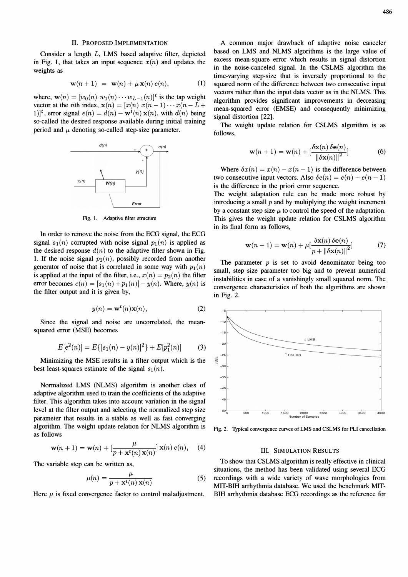#### II. PROPOSED IMPLEMENTATION

Consider a length L, LMS based adaptive filter, depicted in Fig. 1, that takes an input sequence  $x(n)$  and updates the weights as

$$
\mathbf{w}(n+1) = \mathbf{w}(n) + \mu \mathbf{x}(n) e(n), \qquad (1)
$$

where,  $\mathbf{w}(n) = [w_0(n) \ w_1(n) \cdots w_{L-1}(n)]^t$  is the tap weight vector at the *n*th index,  $\mathbf{x}(n) = [x(n) \ x(n-1) \cdots x(n-L)]$ 1)<sup>t</sup>, error signal  $e(n) = d(n) - \mathbf{w}^{t}(n) \mathbf{x}(n)$ , with  $d(n)$  being so-called the desired response available during initial training period and  $\mu$  denoting so-called step-size parameter.



Fig. 1. Adaptive filter structure

In order to remove the noise from the ECG signal, the ECG signal  $s_1(n)$  corrupted with noise signal  $p_1(n)$  is applied as the desired response  $d(n)$  to the adaptive filter shown in Fig. 1. If the noise signal  $p_2(n)$ , possibly recorded from another generator of noise that is correlated in some way with  $p_1(n)$ is applied at the input of the filter, i.e.,  $x(n) = p_2(n)$  the filter error becomes  $e(n) = [s_1(n) + p_1(n)] - y(n)$ . Where,  $y(n)$  is the filter output and it is given by,

$$
y(n) = \mathbf{w}^t(n)\mathbf{x}(n),\tag{2}
$$

Since the signal and noise are uncorrelated, the meansquared error (MSE) becomes

$$
E[e^{2}(n)] = E\{[s_{1}(n) - y(n)]^{2}\} + E[p_{1}^{2}(n)] \qquad (3)
$$

Minimizing the MSE results in a filter output which is the best least-squares estimate of the signal  $s_1(n)$ .

Normalized LMS (NLMS) algorithm is another class of adaptive algorithm used to train the coefficients of the adaptive filter. This algorithm takes into account variation in the signal level at the filter output and selecting the normalized step size parameter that results in a stable as well as fast converging algorithm. The weight update relation for NLMS algorithm is as follows

$$
\mathbf{w}(n+1) = \mathbf{w}(n) + \left[\frac{\mu}{p + \mathbf{x}^t(n)\,\mathbf{x}(n)}\right]\mathbf{x}(n)\,e(n),\quad (4)
$$

The variable step can be written as,

$$
\mu(n) = \frac{\mu}{p + \mathbf{x}^t(n)\,\mathbf{x}(n)}\tag{5}
$$

Here  $\mu$  is fixed convergence factor to control maladjustment.

A common major drawback of adaptive noise canceler based on LMS and NLMS algorithms is the large value of excess mean-square error which results in signal distortion in the noise-canceled signal. In the CSLMS algorithm the time-varying step-size that is inversely proportional to the squared norm of the difference between two consecutive input vectors rather than the input data vector as in the NLMS. This algorithm provides significant improvements in decreasing mean-squared error (EMSE) and consequently minimizing signal distortion [22].

The weight update relation for CSLMS algorithm is as follows,

$$
\mathbf{w}(n+1) = \mathbf{w}(n) + \left[\frac{\delta \mathbf{x}(n) \,\delta \mathbf{e}(n)}{\left\|\delta \mathbf{x}(n)\right\|^2}\right] \tag{6}
$$

Where  $\delta x(n) = x(n) - x(n-1)$  is the difference between two consecutive input vectors. Also  $\delta e(n) = e(n) - e(n-1)$ is the difference in the priori error sequence.

The weight adaptation rule can be made more robust by introducing a small  $p$  and by multiplying the weight increment by a constant step size  $\mu$  to control the speed of the adaptation. This gives the weight update relation for CSLMS algorithm in its final form as follows,

$$
\mathbf{w}(n+1) = \mathbf{w}(n) + \mu \left[ \frac{\delta \mathbf{x}(n) \,\delta \mathbf{e}(n)}{p + ||\delta \mathbf{x}(n)||^2} \right] \tag{7}
$$

The parameter  $p$  is set to avoid denominator being too small, step size parameter too big and to prevent numerical instabilities in case of a vanishingly small squared norm. The convergence characteristics of both the algorithms are shown in Fig. 2.



Fig. 2. Typical convergence curves of LMS and CSLMS for PLI cancellation

# III. SIMULATION RESULTS

To show that CSLMS algorithm is really effective in clinical situations, the method has been validated using several ECG recordings with a wide variety of wave morphologies from MIT-BIH arrhythmia database. We used the benchmark MIT-BIH arrhythmia database ECG recordings as the reference for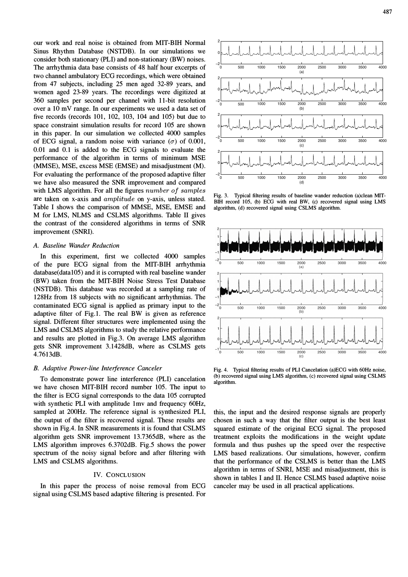our work and real noise is obtained from MIT-BIH Normal Sinus Rhythm Database (NSTDB). In our simulations we consider both stationary (PLI) and non-stationary (BW) noises. The arrhythmia data base consists of 48 half hour excerpts of two channel ambulatory ECG recordings, which were obtained from 47 subjects, including 25 men aged 32-89 years, and women aged 23-89 years. The recordings were digitized at 360 samples per second per channel with II-bit resolution over a 10 mV range. In our experiments we used a data set of five records (records 101, 102, 103, 104 and 105) but due to space constraint simulation results for record 105 are shown in this paper. In our simulation we collected 4000 samples of ECG signal, a random noise with variance  $(\sigma)$  of 0.001, 0.01 and 0.1 is added to the ECG signals to evaluate the performance of the algorithm in terms of minimum MSE (MMSE), MSE, excess MSE (EMSE) and misadjustment (M). For evaluating the performance of the proposed adaptive filter we have also measured the SNR improvement and compared with LMS algorithm. For all the figures number of samples are taken on x-axis and amplitude on y-axis, unless stated. Table I shows the comparison of MMSE, MSE, EMSE and M for LMS, NLMS and CSLMS algorithms. Table II gives the contrast of the considered algorithms in terms of SNR improvement (SNRI).

# A. Baseline Wander Reduction

In this experiment, first we collected 4000 samples of the pure ECG signal from the MIT-BIH arrhythmia database(dataI05) and it is corrupted with real baseline wander (BW) taken from the MIT-BIH Noise Stress Test Database (NSTDB). This database was recorded at a sampling rate of 128Hz from 18 subjects with no significant arrhythmias. The contaminated ECG signal is applied as primary input to the adaptive filter of Fig.I. The real BW is given as reference signal. Different filter structures were implemented using the LMS and CSLMS algorithms to study the relative performance and results are plotted in Fig.3. On average LMS algorithm gets SNR improvement 3.l428dB, where as CSLMS gets 4.7613dB.

#### B. Adaptive Power-line Interference Canceler

To demonstrate power line interference (PLI) cancelation we have chosen MIT-BIH record number 105. The input to the filter is ECG signal corresponds to the data 105 corrupted with synthetic PLI with amplitude Imv and frequency 60Hz, sampled at 200Hz. The reference signal is synthesized PLI, the output of the filter is recovered signal. These results are shown in Fig.4. In SNR measurements it is found that CSLMS algorithm gets SNR improvement 13.7365dB, where as the LMS algorithm improves 6.3702dB. Fig.5 shows the power spectrum of the noisy signal before and after filtering with LMS and CSLMS algorithms.

# IV. CONCLUSION

In this paper the process of noise removal from ECG signal using CSLMS based adaptive filtering is presented. For



Fig. 3. Typical filtering results of baseline wander reduction (a)clean MIT-BIH record 105, (b) ECG with real BW, (c) recovered signal using LMS algorithm, (d) recovered signal using CSLMS algorithm.



Fig. 4. Typical filtering results of PLI Cancelation (a)ECG with 60Hz noise, (b) recovered signal using LMS algorithm, (c) recovered signal using CSLMS algorithm.

this, the input and the desired response signals are properly chosen in such a way that the filter output is the best least squared estimate of the original ECG signal. The proposed treatment exploits the modifications in the weight update formula and thus pushes up the speed over the respective LMS based realizations. Our simulations, however, confirm that the performance of the CSLMS is better than the LMS algorithm in terms of SNRI, MSE and misadjustment, this is shown in tables I and II. Hence CSLMS based adaptive noise canceler may be used in all practical applications.